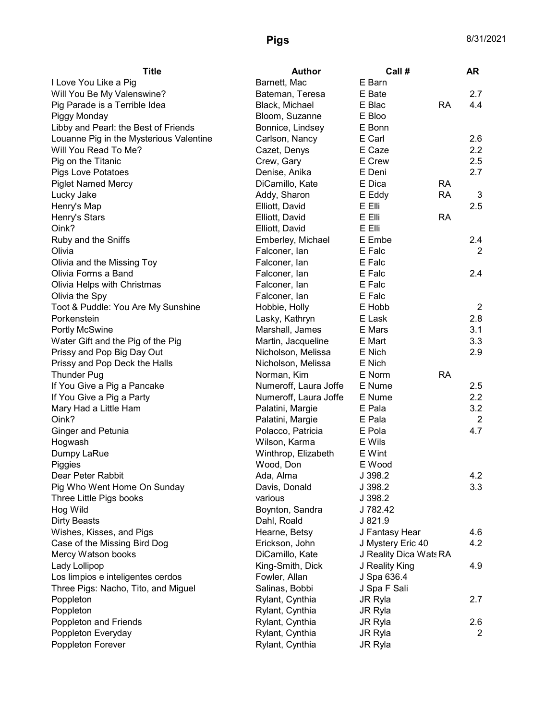| <b>Title</b>                            | <b>Author</b>                      | Call#                  |           | <b>AR</b>      |
|-----------------------------------------|------------------------------------|------------------------|-----------|----------------|
| I Love You Like a Pig                   | Barnett, Mac                       | E Barn                 |           |                |
| Will You Be My Valenswine?              | Bateman, Teresa                    | E Bate                 |           | 2.7            |
| Pig Parade is a Terrible Idea           | Black, Michael                     | E Blac                 | <b>RA</b> | 4.4            |
| Piggy Monday                            | Bloom, Suzanne                     | E Bloo                 |           |                |
| Libby and Pearl: the Best of Friends    | Bonnice, Lindsey                   | E Bonn                 |           |                |
| Louanne Pig in the Mysterious Valentine | Carlson, Nancy                     | E Carl                 |           | 2.6            |
| Will You Read To Me?                    | Cazet, Denys                       | E Caze                 |           | 2.2            |
| Pig on the Titanic                      | Crew, Gary                         | E Crew                 |           | 2.5            |
| Pigs Love Potatoes                      | Denise, Anika                      | E Deni                 |           | 2.7            |
| <b>Piglet Named Mercy</b>               | DiCamillo, Kate                    | E Dica                 | <b>RA</b> |                |
| Lucky Jake                              | Addy, Sharon                       | E Eddy                 | <b>RA</b> | 3              |
| Henry's Map                             | Elliott, David                     | E Elli                 |           | 2.5            |
| Henry's Stars                           | Elliott, David                     | E Elli                 | <b>RA</b> |                |
| Oink?                                   | Elliott, David                     | E Elli                 |           |                |
| Ruby and the Sniffs                     | Emberley, Michael                  | E Embe                 |           | 2.4            |
| Olivia                                  | Falconer, lan                      | E Falc                 |           | 2              |
| Olivia and the Missing Toy              | Falconer, lan                      | E Falc                 |           |                |
| Olivia Forms a Band                     | Falconer, lan                      | E Falc                 |           | 2.4            |
| Olivia Helps with Christmas             | Falconer, lan                      | E Falc                 |           |                |
| Olivia the Spy                          | Falconer, lan                      | E Falc                 |           |                |
| Toot & Puddle: You Are My Sunshine      | Hobbie, Holly                      | E Hobb                 |           | $\overline{2}$ |
| Porkenstein                             | Lasky, Kathryn                     | E Lask                 |           | 2.8            |
| Portly McSwine                          | Marshall, James                    | E Mars                 |           | 3.1            |
| Water Gift and the Pig of the Pig       | Martin, Jacqueline                 | E Mart                 |           | 3.3            |
| Prissy and Pop Big Day Out              | Nicholson, Melissa                 | E Nich                 |           | 2.9            |
| Prissy and Pop Deck the Halls           | Nicholson, Melissa                 | E Nich                 |           |                |
| <b>Thunder Pug</b>                      | Norman, Kim                        | E Norm                 | <b>RA</b> |                |
| If You Give a Pig a Pancake             | Numeroff, Laura Joffe              | E Nume                 |           | 2.5            |
| If You Give a Pig a Party               | Numeroff, Laura Joffe              | E Nume                 |           | 2.2            |
| Mary Had a Little Ham                   | Palatini, Margie                   | E Pala                 |           | 3.2            |
| Oink?                                   | Palatini, Margie                   | E Pala                 |           | $\overline{2}$ |
| <b>Ginger and Petunia</b>               | Polacco, Patricia                  | E Pola                 |           | 4.7            |
| Hogwash                                 | Wilson, Karma                      | E Wils                 |           |                |
| Dumpy LaRue                             | Winthrop, Elizabeth                | E Wint                 |           |                |
| Piggies                                 | Wood, Don                          | E Wood                 |           |                |
| Dear Peter Rabbit                       | Ada, Alma                          | J 398.2                |           | 4.2            |
| Pig Who Went Home On Sunday             | Davis, Donald                      | J 398.2                |           | 3.3            |
| Three Little Pigs books                 | various                            | J 398.2                |           |                |
| Hog Wild                                | Boynton, Sandra                    | J 782.42               |           |                |
| <b>Dirty Beasts</b>                     | Dahl, Roald                        | J 821.9                |           |                |
| Wishes, Kisses, and Pigs                | Hearne, Betsy                      | J Fantasy Hear         |           | 4.6            |
| Case of the Missing Bird Dog            | Erickson, John                     | J Mystery Eric 40      |           | 4.2            |
| Mercy Watson books                      | DiCamillo, Kate                    | J Reality Dica Wats RA |           |                |
| Lady Lollipop                           | King-Smith, Dick                   | J Reality King         |           | 4.9            |
| Los limpios e inteligentes cerdos       | Fowler, Allan                      | J Spa 636.4            |           |                |
| Three Pigs: Nacho, Tito, and Miguel     | Salinas, Bobbi                     | J Spa F Sali           |           |                |
|                                         |                                    |                        |           | 2.7            |
| Poppleton<br>Poppleton                  | Rylant, Cynthia<br>Rylant, Cynthia | JR Ryla                |           |                |
|                                         |                                    | <b>JR Ryla</b>         |           |                |
| Poppleton and Friends                   | Rylant, Cynthia                    | JR Ryla                |           | 2.6            |
| Poppleton Everyday                      | Rylant, Cynthia                    | JR Ryla                |           | 2              |
| Poppleton Forever                       | Rylant, Cynthia                    | JR Ryla                |           |                |